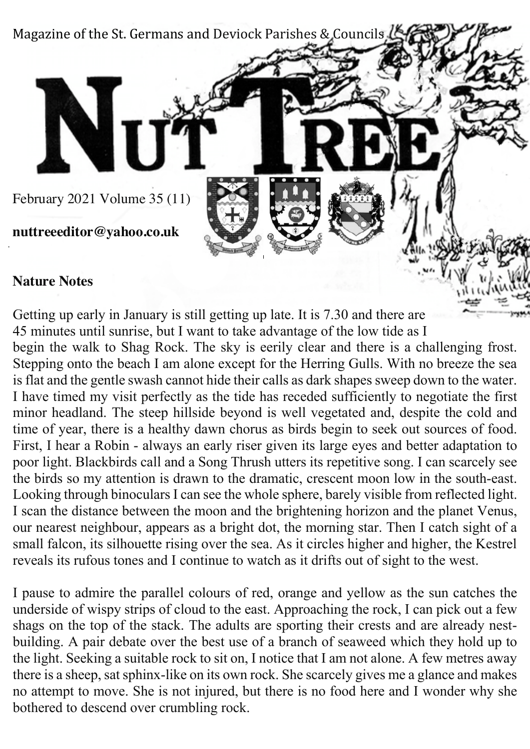

#### **Nature Notes**

Getting up early in January is still getting up late. It is 7.30 and there are 45 minutes until sunrise, but I want to take advantage of the low tide as I begin the walk to Shag Rock. The sky is eerily clear and there is a challenging frost. Stepping onto the beach I am alone except for the Herring Gulls. With no breeze the sea is flat and the gentle swash cannot hide their calls as dark shapes sweep down to the water. I have timed my visit perfectly as the tide has receded sufficiently to negotiate the first minor headland. The steep hillside beyond is well vegetated and, despite the cold and time of year, there is a healthy dawn chorus as birds begin to seek out sources of food. First, I hear a Robin - always an early riser given its large eyes and better adaptation to poor light. Blackbirds call and a Song Thrush utters its repetitive song. I can scarcely see the birds so my attention is drawn to the dramatic, crescent moon low in the south-east. Looking through binoculars I can see the whole sphere, barely visible from reflected light. I scan the distance between the moon and the brightening horizon and the planet Venus, our nearest neighbour, appears as a bright dot, the morning star. Then I catch sight of a small falcon, its silhouette rising over the sea. As it circles higher and higher, the Kestrel reveals its rufous tones and I continue to watch as it drifts out of sight to the west.

I pause to admire the parallel colours of red, orange and yellow as the sun catches the underside of wispy strips of cloud to the east. Approaching the rock, I can pick out a few shags on the top of the stack. The adults are sporting their crests and are already nestbuilding. A pair debate over the best use of a branch of seaweed which they hold up to the light. Seeking a suitable rock to sit on, I notice that I am not alone. A few metres away there is a sheep, sat sphinx-like on its own rock. She scarcely gives me a glance and makes no attempt to move. She is not injured, but there is no food here and I wonder why she bothered to descend over crumbling rock.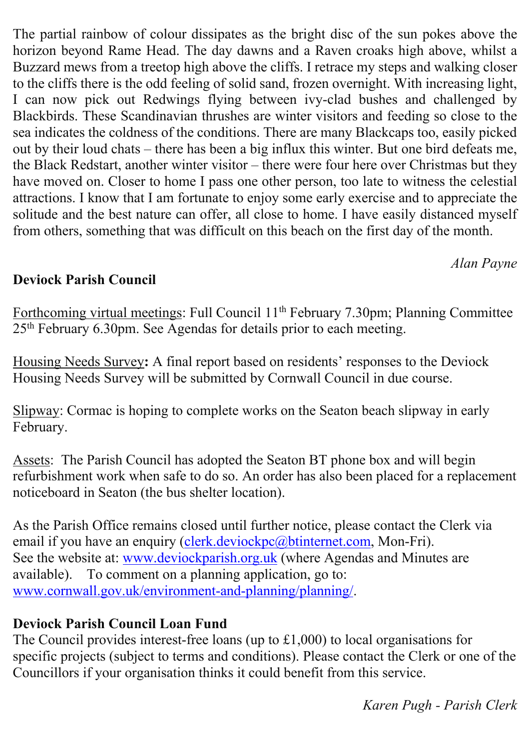The partial rainbow of colour dissipates as the bright disc of the sun pokes above the horizon beyond Rame Head. The day dawns and a Raven croaks high above, whilst a Buzzard mews from a treetop high above the cliffs. I retrace my steps and walking closer to the cliffs there is the odd feeling of solid sand, frozen overnight. With increasing light, I can now pick out Redwings flying between ivy-clad bushes and challenged by Blackbirds. These Scandinavian thrushes are winter visitors and feeding so close to the sea indicates the coldness of the conditions. There are many Blackcaps too, easily picked out by their loud chats – there has been a big influx this winter. But one bird defeats me, the Black Redstart, another winter visitor – there were four here over Christmas but they have moved on. Closer to home I pass one other person, too late to witness the celestial attractions. I know that I am fortunate to enjoy some early exercise and to appreciate the solitude and the best nature can offer, all close to home. I have easily distanced myself from others, something that was difficult on this beach on the first day of the month.

### *Alan Payne*

# **Deviock Parish Council**

Forthcoming virtual meetings: Full Council 11<sup>th</sup> February 7.30pm; Planning Committee 25th February 6.30pm. See Agendas for details prior to each meeting.

Housing Needs Survey**:** A final report based on residents' responses to the Deviock Housing Needs Survey will be submitted by Cornwall Council in due course.

Slipway: Cormac is hoping to complete works on the Seaton beach slipway in early February.

Assets: The Parish Council has adopted the Seaton BT phone box and will begin refurbishment work when safe to do so. An order has also been placed for a replacement noticeboard in Seaton (the bus shelter location).

As the Parish Office remains closed until further notice, please contact the Clerk via email if you have an enquiry (clerk.deviockpc@btinternet.com, Mon-Fri). See the website at: www.deviockparish.org.uk (where Agendas and Minutes are available). To comment on a planning application, go to: www.cornwall.gov.uk/environment-and-planning/planning/.

# **Deviock Parish Council Loan Fund**

The Council provides interest-free loans (up to £1,000) to local organisations for specific projects (subject to terms and conditions). Please contact the Clerk or one of the Councillors if your organisation thinks it could benefit from this service.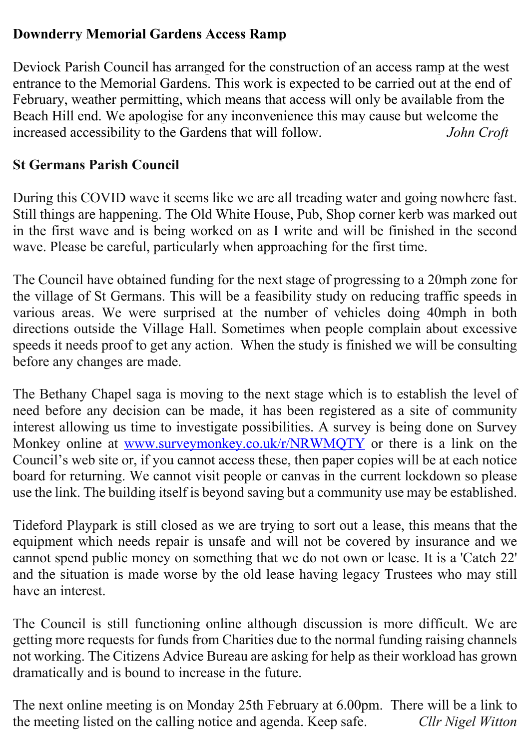# **Downderry Memorial Gardens Access Ramp**

Deviock Parish Council has arranged for the construction of an access ramp at the west entrance to the Memorial Gardens. This work is expected to be carried out at the end of February, weather permitting, which means that access will only be available from the Beach Hill end. We apologise for any inconvenience this may cause but welcome the increased accessibility to the Gardens that will follow. *John Croft*

### **St Germans Parish Council**

During this COVID wave it seems like we are all treading water and going nowhere fast. Still things are happening. The Old White House, Pub, Shop corner kerb was marked out in the first wave and is being worked on as I write and will be finished in the second wave. Please be careful, particularly when approaching for the first time.

The Council have obtained funding for the next stage of progressing to a 20mph zone for the village of St Germans. This will be a feasibility study on reducing traffic speeds in various areas. We were surprised at the number of vehicles doing 40mph in both directions outside the Village Hall. Sometimes when people complain about excessive speeds it needs proof to get any action. When the study is finished we will be consulting before any changes are made.

The Bethany Chapel saga is moving to the next stage which is to establish the level of need before any decision can be made, it has been registered as a site of community interest allowing us time to investigate possibilities. A survey is being done on Survey Monkey online at www.surveymonkey.co.uk/r/NRWMQTY or there is a link on the Council's web site or, if you cannot access these, then paper copies will be at each notice board for returning. We cannot visit people or canvas in the current lockdown so please use the link. The building itself is beyond saving but a community use may be established.

Tideford Playpark is still closed as we are trying to sort out a lease, this means that the equipment which needs repair is unsafe and will not be covered by insurance and we cannot spend public money on something that we do not own or lease. It is a 'Catch 22' and the situation is made worse by the old lease having legacy Trustees who may still have an interest.

The Council is still functioning online although discussion is more difficult. We are getting more requests for funds from Charities due to the normal funding raising channels not working. The Citizens Advice Bureau are asking for help as their workload has grown dramatically and is bound to increase in the future.

The next online meeting is on Monday 25th February at 6.00pm. There will be a link to the meeting listed on the calling notice and agenda. Keep safe. *Cllr Nigel Witton*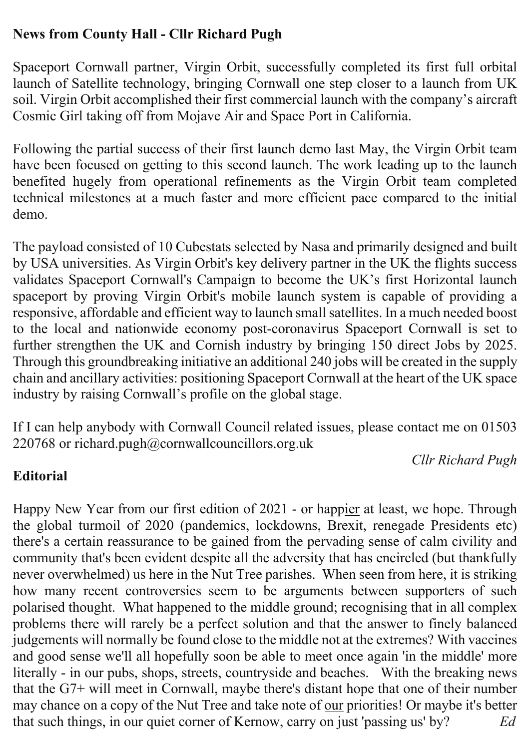# **News from County Hall - Cllr Richard Pugh**

Spaceport Cornwall partner, Virgin Orbit, successfully completed its first full orbital launch of Satellite technology, bringing Cornwall one step closer to a launch from UK soil. Virgin Orbit accomplished their first commercial launch with the company's aircraft Cosmic Girl taking off from Mojave Air and Space Port in California.

Following the partial success of their first launch demo last May, the Virgin Orbit team have been focused on getting to this second launch. The work leading up to the launch benefited hugely from operational refinements as the Virgin Orbit team completed technical milestones at a much faster and more efficient pace compared to the initial demo.

The payload consisted of 10 Cubestats selected by Nasa and primarily designed and built by USA universities. As Virgin Orbit's key delivery partner in the UK the flights success validates Spaceport Cornwall's Campaign to become the UK's first Horizontal launch spaceport by proving Virgin Orbit's mobile launch system is capable of providing a responsive, affordable and efficient way to launch small satellites. In a much needed boost to the local and nationwide economy post-coronavirus Spaceport Cornwall is set to further strengthen the UK and Cornish industry by bringing 150 direct Jobs by 2025. Through this groundbreaking initiative an additional 240 jobs will be created in the supply chain and ancillary activities: positioning Spaceport Cornwall at the heart of the UK space industry by raising Cornwall's profile on the global stage.

If I can help anybody with Cornwall Council related issues, please contact me on 01503 220768 or richard.pugh@cornwallcouncillors.org.uk

*Cllr Richard Pugh*

# **Editorial**

Happy New Year from our first edition of 2021 - or happier at least, we hope. Through the global turmoil of 2020 (pandemics, lockdowns, Brexit, renegade Presidents etc) there's a certain reassurance to be gained from the pervading sense of calm civility and community that's been evident despite all the adversity that has encircled (but thankfully never overwhelmed) us here in the Nut Tree parishes. When seen from here, it is striking how many recent controversies seem to be arguments between supporters of such polarised thought. What happened to the middle ground; recognising that in all complex problems there will rarely be a perfect solution and that the answer to finely balanced judgements will normally be found close to the middle not at the extremes? With vaccines and good sense we'll all hopefully soon be able to meet once again 'in the middle' more literally - in our pubs, shops, streets, countryside and beaches. With the breaking news that the G7+ will meet in Cornwall, maybe there's distant hope that one of their number may chance on a copy of the Nut Tree and take note of our priorities! Or maybe it's better that such things, in our quiet corner of Kernow, carry on just 'passing us' by? *Ed*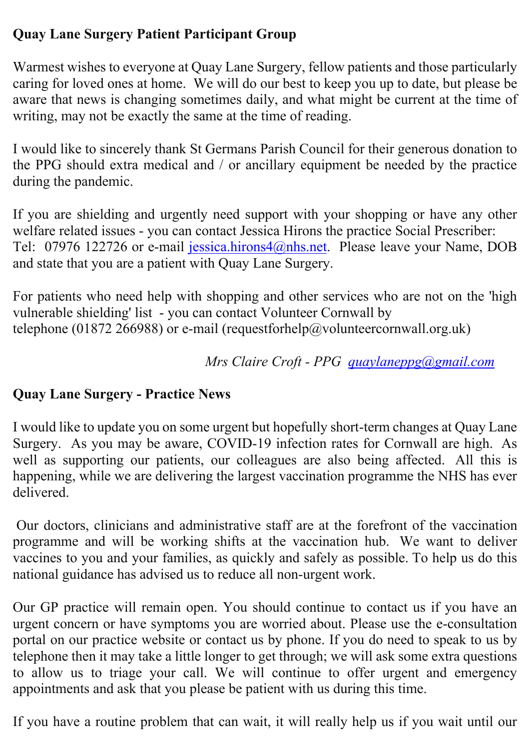# **Quay Lane Surgery Patient Participant Group**

Warmest wishes to everyone at Quay Lane Surgery, fellow patients and those particularly caring for loved ones at home. We will do our best to keep you up to date, but please be aware that news is changing sometimes daily, and what might be current at the time of writing, may not be exactly the same at the time of reading.

I would like to sincerely thank St Germans Parish Council for their generous donation to the PPG should extra medical and / or ancillary equipment be needed by the practice during the pandemic.

If you are shielding and urgently need support with your shopping or have any other welfare related issues - you can contact Jessica Hirons the practice Social Prescriber: Tel: 07976 122726 or e-mail jessica.hirons4@nhs.net. Please leave your Name, DOB and state that you are a patient with Quay Lane Surgery.

For patients who need help with shopping and other services who are not on the 'high vulnerable shielding' list - you can contact Volunteer Cornwall by telephone (01872 266988) or e-mail (requestforhelp@volunteercornwall.org.uk)

*Mrs Claire Croft - PPG quaylaneppg@gmail.com*

# **Quay Lane Surgery - Practice News**

I would like to update you on some urgent but hopefully short-term changes at Quay Lane Surgery. As you may be aware, COVID-19 infection rates for Cornwall are high. As well as supporting our patients, our colleagues are also being affected. All this is happening, while we are delivering the largest vaccination programme the NHS has ever delivered.

Our doctors, clinicians and administrative staff are at the forefront of the vaccination programme and will be working shifts at the vaccination hub. We want to deliver vaccines to you and your families, as quickly and safely as possible. To help us do this national guidance has advised us to reduce all non-urgent work.

Our GP practice will remain open. You should continue to contact us if you have an urgent concern or have symptoms you are worried about. Please use the e-consultation portal on our practice website or contact us by phone. If you do need to speak to us by telephone then it may take a little longer to get through; we will ask some extra questions to allow us to triage your call. We will continue to offer urgent and emergency appointments and ask that you please be patient with us during this time.

If you have a routine problem that can wait, it will really help us if you wait until our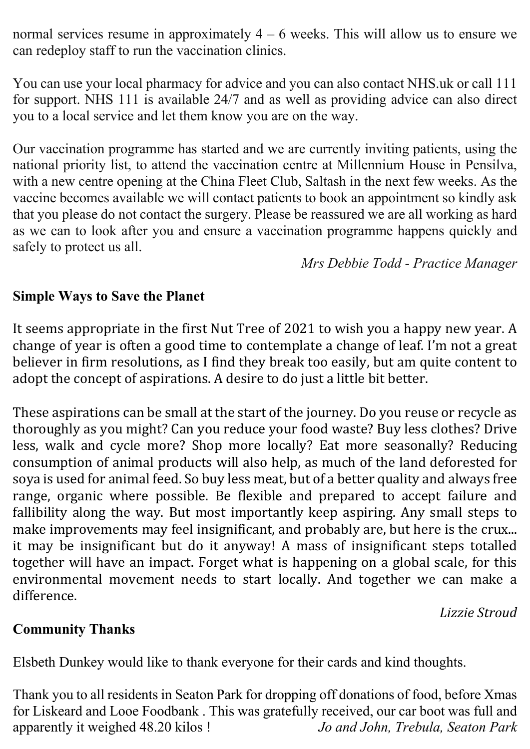normal services resume in approximately  $4 - 6$  weeks. This will allow us to ensure we can redeploy staff to run the vaccination clinics.

You can use your local pharmacy for advice and you can also contact NHS.uk or call 111 for support. NHS 111 is available 24/7 and as well as providing advice can also direct you to a local service and let them know you are on the way.

Our vaccination programme has started and we are currently inviting patients, using the national priority list, to attend the vaccination centre at Millennium House in Pensilva, with a new centre opening at the China Fleet Club, Saltash in the next few weeks. As the vaccine becomes available we will contact patients to book an appointment so kindly ask that you please do not contact the surgery. Please be reassured we are all working as hard as we can to look after you and ensure a vaccination programme happens quickly and safely to protect us all.

*Mrs Debbie Todd - Practice Manager*

#### **Simple Ways to Save the Planet**

It seems appropriate in the first Nut Tree of 2021 to wish you a happy new year. A change of year is often a good time to contemplate a change of leaf. I'm not a great believer in firm resolutions, as I find they break too easily, but am quite content to adopt the concept of aspirations. A desire to do just a little bit better.

These aspirations can be small at the start of the journey. Do you reuse or recycle as thoroughly as you might? Can you reduce your food waste? Buy less clothes? Drive less, walk and cycle more? Shop more locally? Eat more seasonally? Reducing consumption of animal products will also help, as much of the land deforested for soya is used for animal feed. So buy less meat, but of a better quality and always free range, organic where possible. Be flexible and prepared to accept failure and fallibility along the way. But most importantly keep aspiring. Any small steps to make improvements may feel insignificant, and probably are, but here is the crux... it may be insignificant but do it anyway! A mass of insignificant steps totalled together will have an impact. Forget what is happening on a global scale, for this environmental movement needs to start locally. And together we can make a difference.

*Lizzie Stroud*

#### **Community Thanks**

Elsbeth Dunkey would like to thank everyone for their cards and kind thoughts.

Thank you to all residents in Seaton Park for dropping off donations of food, before Xmas for Liskeard and Looe Foodbank . This was gratefully received, our car boot was full and apparently it weighed 48.20 kilos ! *Jo and John, Trebula, Seaton Park*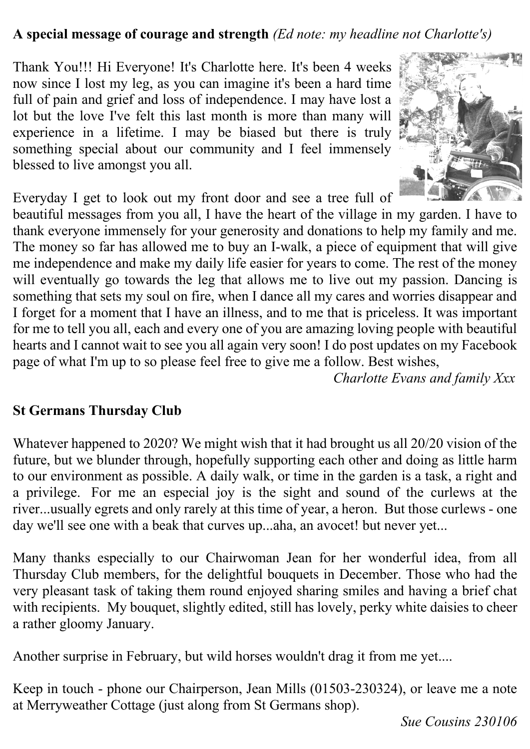### **A special message of courage and strength** *(Ed note: my headline not Charlotte's)*

Thank You!!! Hi Everyone! It's Charlotte here. It's been 4 weeks now since I lost my leg, as you can imagine it's been a hard time full of pain and grief and loss of independence. I may have lost a lot but the love I've felt this last month is more than many will experience in a lifetime. I may be biased but there is truly something special about our community and I feel immensely blessed to live amongst you all.



Everyday I get to look out my front door and see a tree full of

beautiful messages from you all, I have the heart of the village in my garden. I have to thank everyone immensely for your generosity and donations to help my family and me. The money so far has allowed me to buy an I-walk, a piece of equipment that will give me independence and make my daily life easier for years to come. The rest of the money will eventually go towards the leg that allows me to live out my passion. Dancing is something that sets my soul on fire, when I dance all my cares and worries disappear and I forget for a moment that I have an illness, and to me that is priceless. It was important for me to tell you all, each and every one of you are amazing loving people with beautiful hearts and I cannot wait to see you all again very soon! I do post updates on my Facebook page of what I'm up to so please feel free to give me a follow. Best wishes,

*Charlotte Evans and family Xxx*

#### **St Germans Thursday Club**

Whatever happened to 2020? We might wish that it had brought us all 20/20 vision of the future, but we blunder through, hopefully supporting each other and doing as little harm to our environment as possible. A daily walk, or time in the garden is a task, a right and a privilege. For me an especial joy is the sight and sound of the curlews at the river...usually egrets and only rarely at this time of year, a heron. But those curlews - one day we'll see one with a beak that curves up...aha, an avocet! but never yet...

Many thanks especially to our Chairwoman Jean for her wonderful idea, from all Thursday Club members, for the delightful bouquets in December. Those who had the very pleasant task of taking them round enjoyed sharing smiles and having a brief chat with recipients. My bouquet, slightly edited, still has lovely, perky white daisies to cheer a rather gloomy January.

Another surprise in February, but wild horses wouldn't drag it from me yet....

Keep in touch - phone our Chairperson, Jean Mills (01503-230324), or leave me a note at Merryweather Cottage (just along from St Germans shop).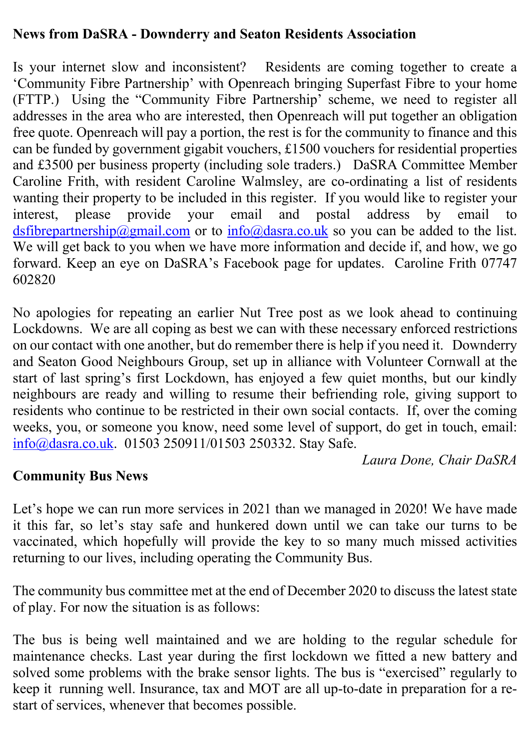#### **News from DaSRA - Downderry and Seaton Residents Association**

Is your internet slow and inconsistent? Residents are coming together to create a 'Community Fibre Partnership' with Openreach bringing Superfast Fibre to your home (FTTP.) Using the "Community Fibre Partnership' scheme, we need to register all addresses in the area who are interested, then Openreach will put together an obligation free quote. Openreach will pay a portion, the rest is for the community to finance and this can be funded by government gigabit vouchers, £1500 vouchers for residential properties and £3500 per business property (including sole traders.) DaSRA Committee Member Caroline Frith, with resident Caroline Walmsley, are co-ordinating a list of residents wanting their property to be included in this register. If you would like to register your interest, please provide your email and postal address by email to dsfibrepartnership@gmail.com or to  $info@dasra.co.uk$  so you can be added to the list. We will get back to you when we have more information and decide if, and how, we go forward. Keep an eye on DaSRA's Facebook page for updates. Caroline Frith 07747 602820

No apologies for repeating an earlier Nut Tree post as we look ahead to continuing Lockdowns. We are all coping as best we can with these necessary enforced restrictions on our contact with one another, but do remember there is help if you need it. Downderry and Seaton Good Neighbours Group, set up in alliance with Volunteer Cornwall at the start of last spring's first Lockdown, has enjoyed a few quiet months, but our kindly neighbours are ready and willing to resume their befriending role, giving support to residents who continue to be restricted in their own social contacts. If, over the coming weeks, you, or someone you know, need some level of support, do get in touch, email: info@dasra.co.uk. 01503 250911/01503 250332. Stay Safe.

*Laura Done, Chair DaSRA*

#### **Community Bus News**

Let's hope we can run more services in 2021 than we managed in 2020! We have made it this far, so let's stay safe and hunkered down until we can take our turns to be vaccinated, which hopefully will provide the key to so many much missed activities returning to our lives, including operating the Community Bus.

The community bus committee met at the end of December 2020 to discuss the latest state of play. For now the situation is as follows:

The bus is being well maintained and we are holding to the regular schedule for maintenance checks. Last year during the first lockdown we fitted a new battery and solved some problems with the brake sensor lights. The bus is "exercised" regularly to keep it running well. Insurance, tax and MOT are all up-to-date in preparation for a restart of services, whenever that becomes possible.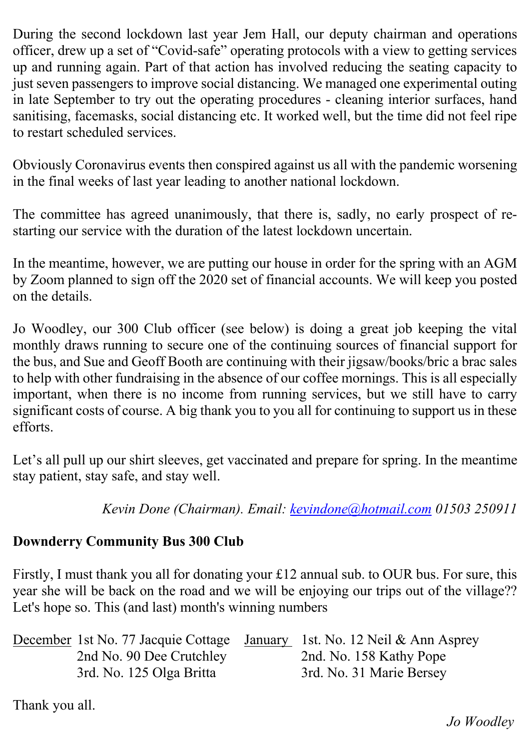During the second lockdown last year Jem Hall, our deputy chairman and operations officer, drew up a set of "Covid-safe" operating protocols with a view to getting services up and running again. Part of that action has involved reducing the seating capacity to just seven passengers to improve social distancing. We managed one experimental outing in late September to try out the operating procedures - cleaning interior surfaces, hand sanitising, facemasks, social distancing etc. It worked well, but the time did not feel ripe to restart scheduled services.

Obviously Coronavirus events then conspired against us all with the pandemic worsening in the final weeks of last year leading to another national lockdown.

The committee has agreed unanimously, that there is, sadly, no early prospect of restarting our service with the duration of the latest lockdown uncertain.

In the meantime, however, we are putting our house in order for the spring with an AGM by Zoom planned to sign off the 2020 set of financial accounts. We will keep you posted on the details.

Jo Woodley, our 300 Club officer (see below) is doing a great job keeping the vital monthly draws running to secure one of the continuing sources of financial support for the bus, and Sue and Geoff Booth are continuing with their jigsaw/books/bric a brac sales to help with other fundraising in the absence of our coffee mornings. This is all especially important, when there is no income from running services, but we still have to carry significant costs of course. A big thank you to you all for continuing to support us in these efforts.

Let's all pull up our shirt sleeves, get vaccinated and prepare for spring. In the meantime stay patient, stay safe, and stay well.

*Kevin Done (Chairman). Email: kevindone@hotmail.com 01503 250911*

# **Downderry Community Bus 300 Club**

Firstly, I must thank you all for donating your £12 annual sub. to OUR bus. For sure, this year she will be back on the road and we will be enjoying our trips out of the village?? Let's hope so. This (and last) month's winning numbers

|                          | December 1st No. 77 Jacquie Cottage January 1st. No. 12 Neil & Ann Asprey |
|--------------------------|---------------------------------------------------------------------------|
| 2nd No. 90 Dee Crutchley | 2nd. No. 158 Kathy Pope                                                   |
| 3rd. No. 125 Olga Britta | 3rd. No. 31 Marie Bersey                                                  |

Thank you all.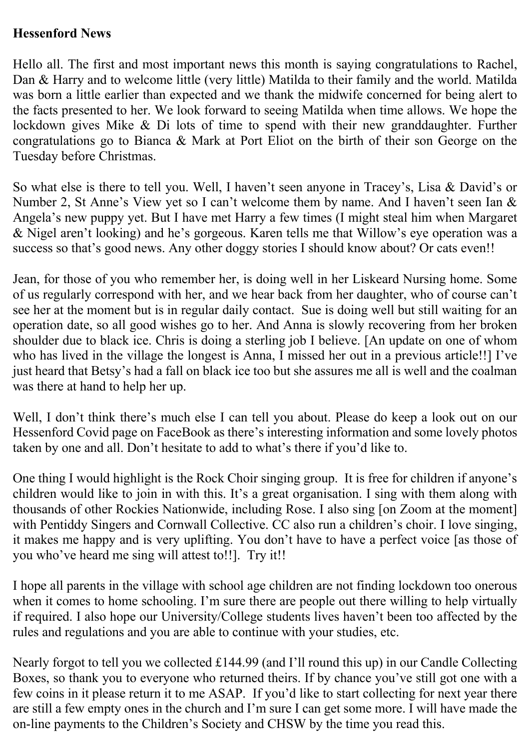#### **Hessenford News**

Hello all. The first and most important news this month is saying congratulations to Rachel, Dan & Harry and to welcome little (very little) Matilda to their family and the world. Matilda was born a little earlier than expected and we thank the midwife concerned for being alert to the facts presented to her. We look forward to seeing Matilda when time allows. We hope the lockdown gives Mike & Di lots of time to spend with their new granddaughter. Further congratulations go to Bianca & Mark at Port Eliot on the birth of their son George on the Tuesday before Christmas.

So what else is there to tell you. Well, I haven't seen anyone in Tracey's, Lisa & David's or Number 2, St Anne's View yet so I can't welcome them by name. And I haven't seen Ian & Angela's new puppy yet. But I have met Harry a few times (I might steal him when Margaret & Nigel aren't looking) and he's gorgeous. Karen tells me that Willow's eye operation was a success so that's good news. Any other doggy stories I should know about? Or cats even!!

Jean, for those of you who remember her, is doing well in her Liskeard Nursing home. Some of us regularly correspond with her, and we hear back from her daughter, who of course can't see her at the moment but is in regular daily contact. Sue is doing well but still waiting for an operation date, so all good wishes go to her. And Anna is slowly recovering from her broken shoulder due to black ice. Chris is doing a sterling job I believe. [An update on one of whom who has lived in the village the longest is Anna, I missed her out in a previous article!!] I've just heard that Betsy's had a fall on black ice too but she assures me all is well and the coalman was there at hand to help her up.

Well, I don't think there's much else I can tell you about. Please do keep a look out on our Hessenford Covid page on FaceBook as there's interesting information and some lovely photos taken by one and all. Don't hesitate to add to what's there if you'd like to.

One thing I would highlight is the Rock Choir singing group. It is free for children if anyone's children would like to join in with this. It's a great organisation. I sing with them along with thousands of other Rockies Nationwide, including Rose. I also sing [on Zoom at the moment] with Pentiddy Singers and Cornwall Collective. CC also run a children's choir. I love singing, it makes me happy and is very uplifting. You don't have to have a perfect voice [as those of you who've heard me sing will attest to!!]. Try it!!

I hope all parents in the village with school age children are not finding lockdown too onerous when it comes to home schooling. I'm sure there are people out there willing to help virtually if required. I also hope our University/College students lives haven't been too affected by the rules and regulations and you are able to continue with your studies, etc.

Nearly forgot to tell you we collected £144.99 (and I'll round this up) in our Candle Collecting Boxes, so thank you to everyone who returned theirs. If by chance you've still got one with a few coins in it please return it to me ASAP. If you'd like to start collecting for next year there are still a few empty ones in the church and I'm sure I can get some more. I will have made the on-line payments to the Children's Society and CHSW by the time you read this.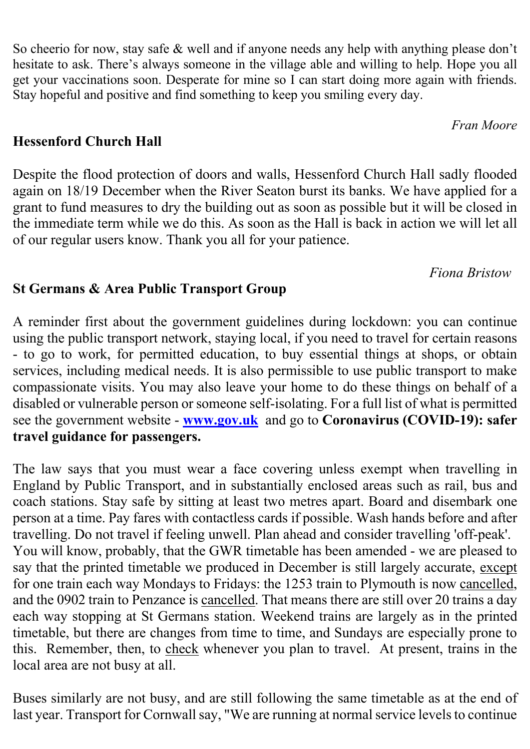So cheerio for now, stay safe & well and if anyone needs any help with anything please don't hesitate to ask. There's always someone in the village able and willing to help. Hope you all get your vaccinations soon. Desperate for mine so I can start doing more again with friends. Stay hopeful and positive and find something to keep you smiling every day.

### **Hessenford Church Hall**

Despite the flood protection of doors and walls, Hessenford Church Hall sadly flooded again on 18/19 December when the River Seaton burst its banks. We have applied for a grant to fund measures to dry the building out as soon as possible but it will be closed in the immediate term while we do this. As soon as the Hall is back in action we will let all of our regular users know. Thank you all for your patience.

*Fiona Bristow*

*Fran Moore*

### **St Germans & Area Public Transport Group**

A reminder first about the government guidelines during lockdown: you can continue using the public transport network, staying local, if you need to travel for certain reasons - to go to work, for permitted education, to buy essential things at shops, or obtain services, including medical needs. It is also permissible to use public transport to make compassionate visits. You may also leave your home to do these things on behalf of a disabled or vulnerable person or someone self-isolating. For a full list of what is permitted see the government website - **www.gov.uk** and go to **Coronavirus (COVID-19): safer travel guidance for passengers.**

The law says that you must wear a face covering unless exempt when travelling in England by Public Transport, and in substantially enclosed areas such as rail, bus and coach stations. Stay safe by sitting at least two metres apart. Board and disembark one person at a time. Pay fares with contactless cards if possible. Wash hands before and after travelling. Do not travel if feeling unwell. Plan ahead and consider travelling 'off-peak'. You will know, probably, that the GWR timetable has been amended - we are pleased to say that the printed timetable we produced in December is still largely accurate, except for one train each way Mondays to Fridays: the 1253 train to Plymouth is now cancelled, and the 0902 train to Penzance is cancelled. That means there are still over 20 trains a day each way stopping at St Germans station. Weekend trains are largely as in the printed timetable, but there are changes from time to time, and Sundays are especially prone to this. Remember, then, to check whenever you plan to travel. At present, trains in the local area are not busy at all.

Buses similarly are not busy, and are still following the same timetable as at the end of last year. Transport for Cornwall say, "We are running at normal service levels to continue